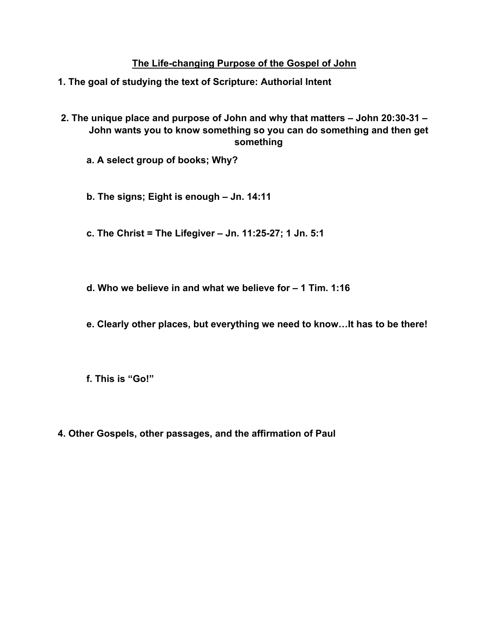## **The Life-changing Purpose of the Gospel of John**

- **1. The goal of studying the text of Scripture: Authorial Intent**
- **2. The unique place and purpose of John and why that matters – John 20:30-31 – John wants you to know something so you can do something and then get something**
	- **a. A select group of books; Why?**
	- **b. The signs; Eight is enough – Jn. 14:11**
	- **c. The Christ = The Lifegiver – Jn. 11:25-27; 1 Jn. 5:1**
	- **d. Who we believe in and what we believe for – 1 Tim. 1:16**
	- **e. Clearly other places, but everything we need to know…It has to be there!**
	- **f. This is "Go!"**
- **4. Other Gospels, other passages, and the affirmation of Paul**